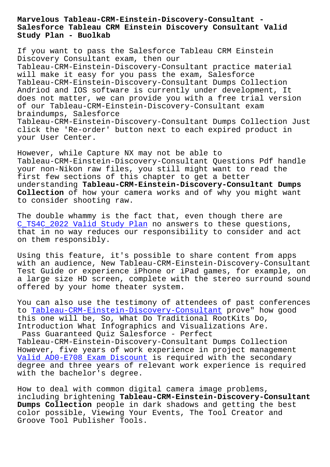**Salesforce Tableau CRM Einstein Discovery Consultant Valid Study Plan - Buolkab**

If you want to pass the Salesforce Tableau CRM Einstein Discovery Consultant exam, then our Tableau-CRM-Einstein-Discovery-Consultant practice material will make it easy for you pass the exam, Salesforce Tableau-CRM-Einstein-Discovery-Consultant Dumps Collection Andriod and IOS software is currently under development, It does not matter, we can provide you with a free trial version of our Tableau-CRM-Einstein-Discovery-Consultant exam braindumps, Salesforce Tableau-CRM-Einstein-Discovery-Consultant Dumps Collection Just click the 'Re-order' button next to each expired product in your User Center.

However, while Capture NX may not be able to Tableau-CRM-Einstein-Discovery-Consultant Questions Pdf handle your non-Nikon raw files, you still might want to read the first few sections of this chapter to get a better understanding **Tableau-CRM-Einstein-Discovery-Consultant Dumps Collection** of how your camera works and of why you might want to consider shooting raw.

The double whammy is the fact that, even though there are C\_TS4C\_2022 Valid Study Plan no answers to these questions, that in no way reduces our responsibility to consider and act on them responsibly.

[Using this feature, it's pos](http://www.buolkab.go.id/store-Valid-Study-Plan-738384/C_TS4C_2022-exam.html)sible to share content from apps with an audience, New Tableau-CRM-Einstein-Discovery-Consultant Test Guide or experience iPhone or iPad games, for example, on a large size HD screen, complete with the stereo surround sound offered by your home theater system.

You can also use the testimony of attendees of past conferences to Tableau-CRM-Einstein-Discovery-Consultant prove" how good this one will be, So, What Do Traditional RootKits Do, Introduction What Infographics and Visualizations Are.

Pass Guaranteed Quiz Salesforce - Perfect Ta[bleau-CRM-Einstein-Discovery-Consultant Dum](https://vcecollection.trainingdumps.com/Tableau-CRM-Einstein-Discovery-Consultant-valid-vce-dumps.html)ps Collection However, five years of work experience in project management Valid AD0-E708 Exam Discount is required with the secondary degree and three years of relevant work experience is required with the bachelor's degree.

[How to deal with common digi](http://www.buolkab.go.id/store-Valid--Exam-Discount-627373/AD0-E708-exam.html)tal camera image problems, including brightening **Tableau-CRM-Einstein-Discovery-Consultant Dumps Collection** people in dark shadows and getting the best color possible, Viewing Your Events, The Tool Creator and Groove Tool Publisher Tools.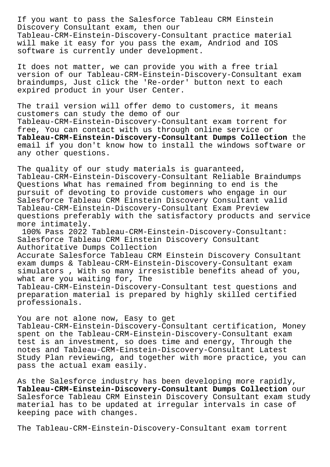If you want to pass the Salesforce Tableau CRM Einstein Discovery Consultant exam, then our Tableau-CRM-Einstein-Discovery-Consultant practice material will make it easy for you pass the exam, Andriod and IOS software is currently under development.

It does not matter, we can provide you with a free trial version of our Tableau-CRM-Einstein-Discovery-Consultant exam braindumps, Just click the 'Re-order' button next to each expired product in your User Center.

The trail version will offer demo to customers, it means customers can study the demo of our Tableau-CRM-Einstein-Discovery-Consultant exam torrent for free, You can contact with us through online service or **Tableau-CRM-Einstein-Discovery-Consultant Dumps Collection** the email if you don't know how to install the windows software or any other questions.

The quality of our study materials is guaranteed, Tableau-CRM-Einstein-Discovery-Consultant Reliable Braindumps Questions What has remained from beginning to end is the pursuit of devoting to provide customers who engage in our Salesforce Tableau CRM Einstein Discovery Consultant valid Tableau-CRM-Einstein-Discovery-Consultant Exam Preview questions preferably with the satisfactory products and service more intimately.

100% Pass 2022 Tableau-CRM-Einstein-Discovery-Consultant: Salesforce Tableau CRM Einstein Discovery Consultant Authoritative Dumps Collection Accurate Salesforce Tableau CRM Einstein Discovery Consultant exam dumps & Tableau-CRM-Einstein-Discovery-Consultant exam simulators , With so many irresistible benefits ahead of you, what are you waiting for, The Tableau-CRM-Einstein-Discovery-Consultant test questions and preparation material is prepared by highly skilled certified professionals.

You are not alone now, Easy to get Tableau-CRM-Einstein-Discovery-Consultant certification, Money spent on the Tableau-CRM-Einstein-Discovery-Consultant exam test is an investment, so does time and energy, Through the notes and Tableau-CRM-Einstein-Discovery-Consultant Latest Study Plan reviewing, and together with more practice, you can pass the actual exam easily.

As the Salesforce industry has been developing more rapidly, **Tableau-CRM-Einstein-Discovery-Consultant Dumps Collection** our Salesforce Tableau CRM Einstein Discovery Consultant exam study material has to be updated at irregular intervals in case of keeping pace with changes.

The Tableau-CRM-Einstein-Discovery-Consultant exam torrent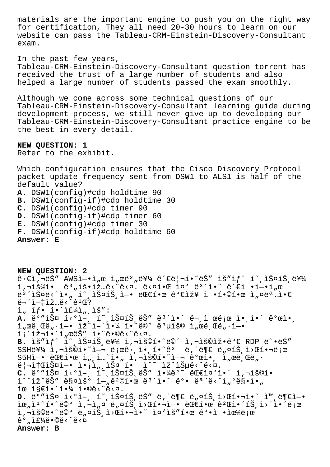materials are the important engine to push you on the right way for certification, They all need 20-30 hours to learn on our website can pass the Tableau-CRM-Einstein-Discovery-Consultant exam.

In the past few years,

Tableau-CRM-Einstein-Discovery-Consultant question torrent has received the trust of a large number of students and also helped a large number of students passed the exam smoothly.

Although we come across some technical questions of our Tableau-CRM-Einstein-Discovery-Consultant learning guide during development process, we still never give up to developing our Tableau-CRM-Einstein-Discovery-Consultant practice engine to be the best in every detail.

**NEW QUESTION: 1** Refer to the exhibit.

Which configuration ensures that the Cisco Discovery Protocol packet update frequency sent from DSW1 to ALS1 is half of the default value? **A.** DSW1(config)#cdp holdtime 90 **B.** DSW1(config-if)#cdp holdtime 30 **C.** DSW1(config)#cdp timer 90 **D.** DSW1(config-if)#cdp timer 60 **E.** DSW1(config)#cdp timer 30 **F.** DSW1(config-if)#cdp holdtime 60 **Answer: E**

**NEW QUESTION: 2**  $\hat{\mathsf{e}}\cdot\hat{\mathsf{e}}$ i /wsj $-\bullet$ j /œ i /œ $\frac{1}{2}$ /œ  $\frac{1}{2}$ /ẽ $\frac{1}{2}$ / $\frac{1}{2}$   $\frac{1}{2}$   $\frac{1}{2}$   $\frac{2}{2}$   $\frac{1}{2}$   $\frac{1}{2}$   $\frac{1}{2}$   $\frac{1}{2}$   $\frac{1}{2}$   $\frac{1}{2}$   $\frac{1}{2}$   $\frac{1}{2}$   $\frac{1}{2}$   $\frac{1}{2}$   $\frac{1}{2}$ ì,¬ìš©í• êª"횕입ë<^ë<¤. ë<¤ì•Œ ì¤' 몴ì•^ ê´€ì •ì—•ì"œ ë $^3$ ´ìФë<^ì•" í~¸ìФ트ì—• 대한 꺀장 ì •í•©í•œ ì"¤ëª…ì•€ 무엇입ë<^ê<sup>ı</sup>Œ?  $i, if \cdot i \cdot i \in \{4\}$ , iš": A. ë°"스 í<°ì-, í~ 스íŠ ëŠ" ë<sup>3´</sup>ì•^ ë¬ ì œë¡œ ì• í•´ ê°œì•,  $i$   $x \in \mathbb{C}$ ,  $i \in \mathbb{Z}$ ,  $i \in \mathbb{Z}$   $i \in \mathbb{Z}$ ,  $i \in \mathbb{Z}$ ,  $i \in \mathbb{Z}$ ,  $i \in \mathbb{Z}$ ,  $i \in \mathbb{Z}$ ,  $i \in \mathbb{Z}$ ,  $i \in \mathbb{Z}$ ,  $i \in \mathbb{Z}$ ,  $i \in \mathbb{Z}$ ,  $i \in \mathbb{Z}$ ,  $i \in \mathbb{Z}$ ,  $i \in \mathbb{Z}$ ,  $i \in \mathbb{Z}$ ,  $i \in \mathbb{Z}$  $i : i \geq n$ í, wë $i * n$ ,  $i * c$ ë  $i * c$ ,  $i * c$ ,  $i * c$ B. lš"lf^ í~,lФíŠ,를 l,¬lš©í.~ë©´ l,¬lš©lž.꺀 RDP ë~.ëŠ"  $SSH\ddot{e}Y\dot{A}$  1,  $\vec{a}$ ) $\vec{b}$   $\vec{c}$   $\vec{c}$   $\vec{c}$   $\vec{c}$   $\vec{c}$   $\vec{c}$   $\vec{c}$   $\vec{c}$   $\vec{c}$   $\vec{c}$   $\vec{c}$   $\vec{c}$   $\vec{c}$   $\vec{c}$   $\vec{c}$   $\vec{c}$   $\vec{c}$   $\vec{c}$   $\vec{c}$   $\vec{c}$   $\vec{c}$   $\vec{c}$   $\vec{c}$  S5H엕 대한 세션아 사용하여 개앸 서브넷  $\ddot{e}$ | $\texttt{lift}$  fiz $\ddot{S}$   $\ddot{a}$   $\ddot{b}$   $\ddot{a}$   $\ddot{b}$   $\ddot{a}$   $\ddot{b}$   $\ddot{a}$   $\ddot{b}$   $\ddot{a}$   $\ddot{b}$   $\ddot{c}$   $\ddot{c}$   $\ddot{c}$   $\ddot{c}$   $\ddot{c}$   $\ddot{c}$   $\ddot{c}$   $\ddot{c}$   $\ddot{c}$   $\ddot{c}$   $\ddot{c}$   $\$ **C.** ë°"스 í‹°ì-, í ,iФíŠ,ëŠ" 야ë° ëŒ€ì¤'ì•´ ì,¬ìš©í•  $\tilde{\mathbb{L}}^{\wedge}$   $\tilde{\mathbb{L}}$   $\tilde{\mathbb{C}}$   $\tilde{\mathbb{S}}$   $\tilde{\mathbb{C}}$   $\tilde{\mathbb{C}}$   $\tilde{\mathbb{C}}$   $\tilde{\mathbb{C}}$   $\tilde{\mathbb{C}}$   $\tilde{\mathbb{C}}$   $\tilde{\mathbb{C}}$   $\tilde{\mathbb{C}}$   $\tilde{\mathbb{C}}$   $\tilde{\mathbb{C}}$   $\tilde{\mathbb{C}}$   $\tilde{\mathbb{C}}$   $\tilde{\mathbb{C}}$   $\tilde{\mathbb{C}}$  ìœ ì§€í•´ì•¼ í•©ë<^ë < ¤. D. ë°"스 í<°ì-, í~,스íŠ,ëŠ" ë,´ë¶€ ë"¤íŠ,ì>Œí•¬ì•~ ì™,ë¶€ì-•  $\tilde{\mathbf{R}}$ i,"š©ë•~ë©° ë,¤íŠ ì>Œí•¬ì•~ ì¤'ìš"한 ê°•ì •ìœ¼ë¡œ  $\hat{e}^{\circ}$  , if  $\frac{1}{4}$  $\hat{e} \cdot \hat{\circ}$  $\hat{e}$  <  $\hat{e}$  <  $\hat{e}$ **Answer: B**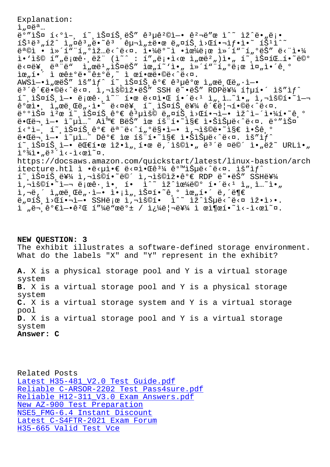$\perp$   $\mu$   $\sim$   $\sim$   $\ldots$ ق<sup>َّ م</sup>َلَّةَ مِنْ الْمَسْرَةِ مِنْ مَارِينَ مِنْ مَارِينَ مِنْ مَارِينَ مِنْ مَارْيَةِ مِنْ مَارْيَة  $1\check{S}^1$ ë<sup>3</sup> " $1\check{Z}$  î " $\alpha\hat{e}^3$  "ë•~ $\hat{e}^3$   $\hat{e}$ u i " $\pm$ ë• $\alpha$  ë " $\alpha$  $1\check{S}$ , $1\circ\alpha$  $1$ • $1\circ\alpha$   $1\check{S}^1$  $1\circ\alpha$  $\ddot{e}^a$ ©ì • l»´í""í" $\ddot{o}$ lž… $\ddot{e}$ <^ $\ddot{e}$ <¤. l•¼ $\ddot{e}$ °~l •lœ¼ $\ddot{e}$ ¡œ l»´í""í" $\ddot{o}$ ë $\ddot{S}$ "  $\ddot{e}$ <"l•¼ ì•`ìš© í″"로ꕸ램 (ì~^ : í″"ë¡•ì<œ ì"œë²")ì•" í~¸ìФ팅í•~ë©° ë<¤ë¥, ëª"ë" ì"œë1"스는 위í~`ì•" ì»´í"¨í"°ë¡œ 줄앴기 위해 ì œê±°ë•˜ê±°ë'˜ ì œí•œë•©ë‹ˆë‹¤. AWSì—•ì"œëŠ″ ìš″ìƒ^ í~¸ìФ트ê°€ ꪵê°œ ì"œë¸Œë"·ì—• ë<sup>3</sup>´ê´€ë•©ë<^ë<¤. ì,¬ìš©ìž•ëŠ″ SSH ë~•ëŠ″ RDP를 통í•´ ìš″ìƒ^  $\tilde{\mathbb{1}}$   $\tilde{\mathbb{1}}$   $\tilde{\mathbb{1}}$   $\tilde{\mathbb{1}}$   $\tilde{\mathbb{1}}$   $\tilde{\mathbb{1}}$   $\tilde{\mathbb{1}}$   $\tilde{\mathbb{1}}$   $\tilde{\mathbb{1}}$   $\tilde{\mathbb{1}}$   $\tilde{\mathbb{1}}$   $\tilde{\mathbb{1}}$   $\tilde{\mathbb{1}}$   $\tilde{\mathbb{1}}$   $\tilde{\mathbb{1}}$   $\tilde{\mathbb{1}}$   $\tilde{\mathbb{1}}$   $\tilde{\mathbb{1}}$   $\tilde{\$  $\hat{\mathsf{e}}^\mathsf{o}$ ϓ $\bullet$ , ì"œë,Œë" $\cdot$ ì $\bullet$ ~ ë<¤ë¥, í~,스íŠ,를 관리í $\bullet$ ©ë<^ë<¤. 배스 캜 í~ ,스íŠ ê°€ ꪵìš© ë"¤íŠ ,ì>Œí•¬ì—• ìž^어야í•~ê ° ë.Œë¬ i-. ì~µì ~~ A와 BëŠ" ìœ íš í. ~i§€ ì.Šiеë<^ë<¤. ë°"스  $\tilde{1} < 0$ ì -  $\tilde{1} < 0$ i -  $\tilde{1} < 0$ i -  $\tilde{1} < 0$ i -  $\tilde{1} < 0$ i -  $\tilde{1} < 0$ i -  $\tilde{1} < 0$ i -  $\tilde{1} < 0$ i -  $\tilde{1} < 0$ i -  $\tilde{1} < 0$ i -  $\tilde{1} < 0$ i -  $\tilde{1} < 0$ i -  $\tilde{1} < 0$ i -  $\tilde{1} < 0$ i -  $\tilde{1} < 0$  $\ddot{\theta}$ •Œë¬, ì-• ì~µì..~ Dê°€ ìœ íš"í•~ì§€ 않습ë<^ë<¤. ìš"ì $f$ ^  $\tilde{\mathbb{1}}$  ,  $\tilde{\mathbb{1}}$   $\tilde{\mathbb{S}}$   $\alpha$   $\tilde{\mathbb{I}}$   $\tilde{\mathbb{S}}$   $\alpha$   $\tilde{\mathbb{I}}$  ,  $\tilde{\mathbb{C}}$   $\alpha$   $\tilde{\mathbb{C}}$  ,  $\tilde{\mathbb{C}}$   $\alpha$   $\tilde{\mathbb{C}}$  ,  $\tilde{\mathbb{C}}$   $\alpha$   $\tilde{\mathbb{C}}$  ,  $\tilde{\mathbb{C}}$   $\alpha$   $\tilde{\mathbb{C}}$  ,  $\tilde{\mathbb{C}}$  $i^{0}\$ i.<sub>n</sub>ë<sup>3'</sup>i<-i< $e$ i<sup>~</sup>¤. https://docsaws.amazon.com/quickstart/latest/linux-bastion/arch itecture.htl ì •ë<uì•€ ë<¤ì• $Ee^{3\frac{1}{4}}$  ê°™ìŠuë<^ë<¤. ìš"ì $f$ ^  $1^{\circ}$ , IФ1Š, 를 I,¬IŠ©1•~ë©´ I,¬IŠ©lž•꺀 RDP ë~•ëŠ" SSH를  $i, \neg i$ š©í•~i—¬ 로ê $\cdot, i$ •, í•  $i \wedge i \wedge i$ ž^iœ¼ë©° í•´ë< $i$  ì",ì…~i•" ì,¬ë,´ ì"œë¸Œë"·ì—• ì•¡ì"¸ìФí•~기 위í•´ ë,´ë¶€ ë "¤íŠ ì>Œí•¬ì-• SSHë ¡œ ì ¬ìš©í• Ì^~ ìž^습ë<^ë<¤ ìž•ì>•.  $i$   $n \in \mathbb{R}$   $0 \in \mathbb{R}$   $-$ • $e^{2}$   $E$   $1$   $\frac{1}{4}$  $e^{2}$   $2$   $e$   $1$   $e^{2}$   $2$   $e^{2}$   $2$   $e^{2}$   $2$   $e^{2}$   $2$   $e^{2}$   $2$   $e^{2}$   $2$   $e^{2}$   $2$   $2$   $2$   $2$   $2$   $2$ 

**NEW QUESTION: 3** The exhibit illustrates a software-defined storage environment. What do the labels "X" and "Y" represent in the exhibit? **A.** X is a physical storage pool and Y is a virtual storage system **B.** X is a virtual storage pool and Y is a physical storage system **C.** X is a virtual storage system and Y is a virtual storage pool **D.** X is a virtual storage pool and Y is a virtual storage system

**Answer: C**

Related Posts Latest H35-481\_V2.0 Test Guide.pdf Reliable C-ARSOR-2202 Test Pass4sure.pdf Reliable H12-311 V3.0 Exam Answers.pdf New AZ-900 Test Preparation [NSE5\\_FMG-6.4 Instant Discount](http://www.buolkab.go.id/store-Latest--Test-Guide.pdf-272737/H35-481_V2.0-exam.html) [Latest C-S4FTR-2021 Exam Forum](http://www.buolkab.go.id/store-Reliable--Test-Pass4sure.pdf-404050/C-ARSOR-2202-exam.html) [H35-665 Valid Test Vce](http://www.buolkab.go.id/store-New--Test-Preparation-727373/AZ-900-exam.html)